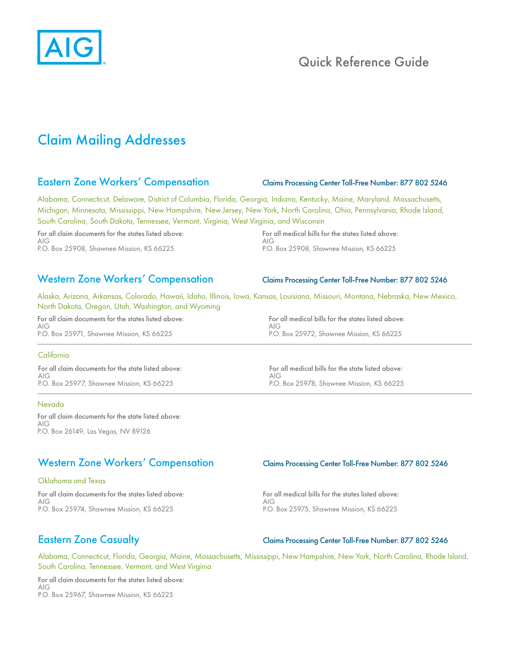

# Quick Reference Guide

# Claim Mailing Addresses

## Eastern Zone Workers' Compensation Claims Processing Center Toll-Free Number: 877 802 5246

Alabama, Connecticut, Delaware, District of Columbia, Florida, Georgia, Indiana, Kentucky, Maine, Maryland, Massachusetts, Michigan, Minnesota, Mississippi, New Hampshire, New Jersey, New York, North Carolina, Ohio, Pennsylvania, Rhode Island, South Carolina, South Dakota, Tennessee, Vermont, Virginia, West Virginia, and Wisconsin

For all claim documents for the states listed above: AIG P.O. Box 25908, Shawnee Mission, KS 66225

For all medical bills for the states listed above: AIG P.O. Box 25908, Shawnee Mission, KS 66225

## Western Zone Workers' Compensation Claims Processing Center Toll-Free Number: 877 802 5246

Alaska, Arizona, Arkansas, Colorado, Hawaii, Idaho, Illinois, Iowa, Kansas, Louisiana, Missouri, Montana, Nebraska, New Mexico, North Dakota, Oregon, Utah, Washington, and Wyoming

For all claim documents for the states listed above: AIG P.O. Box 25971, Shawnee Mission, KS 66225

### **California**

For all claim documents for the state listed above: AIG P.O. Box 25977, Shawnee Mission, KS 66225

### Nevada

For all claim documents for the state listed above: AIG P.O. Box 26149, Las Vegas, NV 89126

# Western Zone Workers' Compensation Claims Processing Center Toll-Free Number: 877 802 5246

### Oklahoma and Texas

For all claim documents for the states listed above: AIG P.O. Box 25974, Shawnee Mission, KS 66225

For all medical bills for the states listed above: AIG P.O. Box 25975, Shawnee Mission, KS 66225

### Eastern Zone Casualty Claims Processing Center Toll-Free Number: 877 802 5246

Alabama, Connecticut, Florida, Georgia, Maine, Massachusetts, Mississippi, New Hampshire, New York, North Carolina, Rhode Island, South Carolina, Tennessee, Vermont, and West Virginia

For all claim documents for the states listed above: AIG P.O. Box 25967, Shawnee Mission, KS 66225

For all medical bills for the states listed above: AIG P.O. Box 25972, Shawnee Mission, KS 66225

For all medical bills for the state listed above: AIG P.O. Box 25978, Shawnee Mission, KS 66225